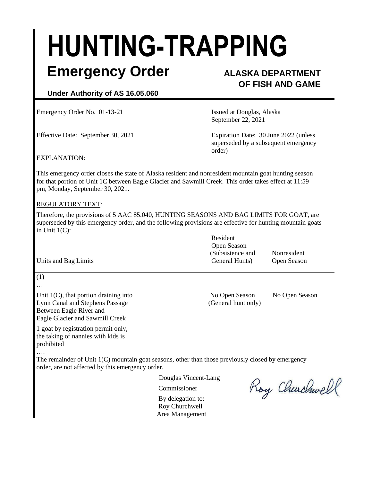# **HUNTING-TRAPPING**

### **Emergency Order ALASKA DEPARTMENT**

## **OF FISH AND GAME**

#### **Under Authority of AS 16.05.060**

Emergency Order No. 01-13-21 **Issued at Douglas, Alaska** 

September 22, 2021

Effective Date: September 30, 2021 Expiration Date: 30 June 2022 (unless superseded by a subsequent emergency order)

#### EXPLANATION:

This emergency order closes the state of Alaska resident and nonresident mountain goat hunting season for that portion of Unit 1C between Eagle Glacier and Sawmill Creek. This order takes effect at 11:59 pm, Monday, September 30, 2021.

#### REGULATORY TEXT:

Therefore, the provisions of 5 AAC 85.040, HUNTING SEASONS AND BAG LIMITS FOR GOAT, are superseded by this emergency order, and the following provisions are effective for hunting mountain goats in Unit 1(C):

|                      | Resident         |             |
|----------------------|------------------|-------------|
|                      | Open Season      |             |
|                      | (Subsistence and | Nonresident |
| Units and Bag Limits | General Hunts)   | Open Season |

#### (1)

…

Unit 1(C), that portion draining into No Open Season No Open Season No Open Season Lynn Canal and Stephens Passage (General hunt only) Between Eagle River and Eagle Glacier and Sawmill Creek

1 goat by registration permit only, the taking of nannies with kids is prohibited

….

The remainder of Unit 1(C) mountain goat seasons, other than those previously closed by emergency order, are not affected by this emergency order.

Douglas Vincent-Lang

Commissioner

By delegation to: Roy Churchwell Area Management

Roy Churchwell